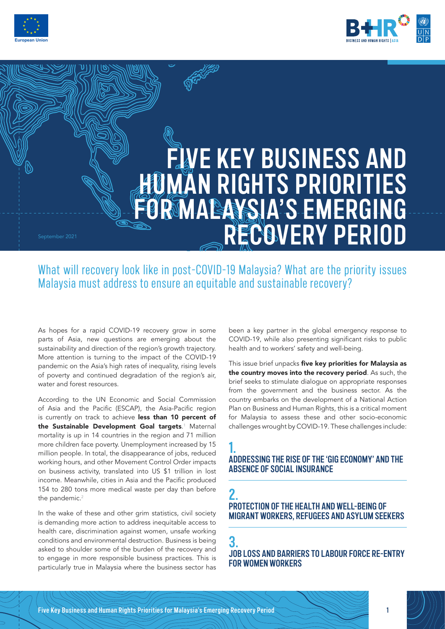





### What will recovery look like in post-COVID-19 Malaysia? What are the priority issues Malaysia must address to ensure an equitable and sustainable recovery?

As hopes for a rapid COVID-19 recovery grow in some parts of Asia, new questions are emerging about the sustainability and direction of the region's growth trajectory. More attention is turning to the impact of the COVID-19 pandemic on the Asia's high rates of inequality, rising levels of poverty and continued degradation of the region's air, water and forest resources.

According to the UN Economic and Social Commission of Asia and the Pacific (ESCAP), the Asia-Pacific region is currently on track to achieve less than 10 percent of the Sustainable Development Goal targets.<sup>[1](#page-5-0)</sup> Maternal mortality is up in 14 countries in the region and 71 million more children face poverty. Unemployment increased by 15 million people. In total, the disappearance of jobs, reduced working hours, and other Movement Control Order impacts on business activity, translated into US \$1 trillion in lost income. Meanwhile, cities in Asia and the Pacific produced 154 to 280 tons more medical waste per day than before the pandemic.<sup>[2](#page-5-1)</sup>

In the wake of these and other grim statistics, civil society is demanding more action to address inequitable access to health care, discrimination against women, unsafe working conditions and environmental destruction. Business is being asked to shoulder some of the burden of the recovery and to engage in more responsible business practices. This is particularly true in Malaysia where the business sector has been a key partner in the global emergency response to COVID-19, while also presenting significant risks to public health and to workers' safety and well-being.

This issue brief unpacks five key priorities for Malaysia as the country moves into the recovery period. As such, the brief seeks to stimulate dialogue on appropriate responses from the government and the business sector. As the country embarks on the development of a National Action Plan on Business and Human Rights, this is a critical moment for Malaysia to assess these and other socio-economic challenges wrought by COVID-19. These challenges include:

### **1. ADDRESSING THE RISE OF THE 'GIG ECONOMY' AND THE ABSENCE OF SOCIAL INSURANCE**

**2. PROTECTION OF THE HEALTH AND WELL-BEING OF MIGRANT WORKERS, REFUGEES AND ASYLUM SEEKERS**

**3. JOB LOSS AND BARRIERS TO LABOUR FORCE RE-ENTRY FOR WOMEN WORKERS**

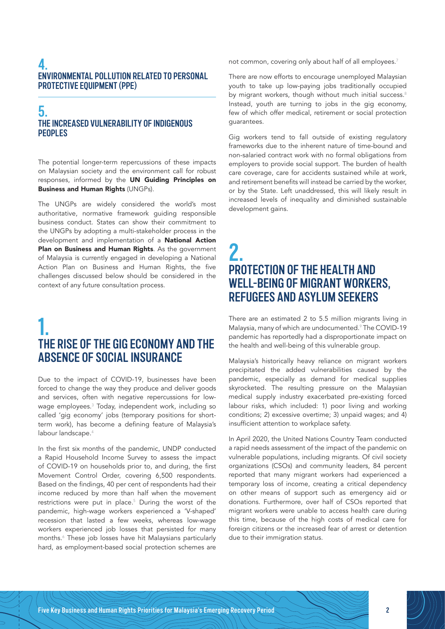#### **4. ENVIRONMENTAL POLLUTION RELATED TO PERSONAL PROTECTIVE EQUIPMENT (PPE)**

### **5. THE INCREASED VULNERABILITY OF INDIGENOUS PEOPLES**

The potential longer-term repercussions of these impacts on Malaysian society and the environment call for robust responses, informed by the UN Guiding Principles on Business and Human Rights (UNGPs).

The UNGPs are widely considered the world's most authoritative, normative framework guiding responsible business conduct. States can show their commitment to the UNGPs by adopting a multi-stakeholder process in the development and implementation of a **National Action** Plan on Business and Human Rights. As the government of Malaysia is currently engaged in developing a National Action Plan on Business and Human Rights, the five challenges discussed below should be considered in the context of any future consultation process.

# **1. THE RISE OF THE GIG ECONOMY AND THE ABSENCE OF SOCIAL INSURANCE**

Due to the impact of COVID-19, businesses have been forced to change the way they produce and deliver goods and services, often with negative repercussions for lowwage employees.[3](#page-5-2) Today, independent work, including so called 'gig economy' jobs (temporary positions for shortterm work), has become a defining feature of Malaysia's labour landscape.<sup>4</sup>

In the first six months of the pandemic, UNDP conducted a Rapid Household Income Survey to assess the impact of COVID-19 on households prior to, and during, the first Movement Control Order, covering 6,500 respondents. Based on the findings, 40 per cent of respondents had their income reduced by more than half when the movement restrictions were put in place. $5$  During the worst of the pandemic, high-wage workers experienced a 'V-shaped' recession that lasted a few weeks, whereas low-wage workers experienced job losses that persisted for many months.6 These job losses have hit Malaysians particularly hard, as employment-based social protection schemes are

not common, covering only about half of all employees.<sup>7</sup>

There are now efforts to encourage unemployed Malaysian youth to take up low-paying jobs traditionally occupied by migrant workers, though without much initial success.<sup>8</sup> Instead, youth are turning to jobs in the gig economy, few of which offer medical, retirement or social protection guarantees.

Gig workers tend to fall outside of existing regulatory frameworks due to the inherent nature of time-bound and non-salaried contract work with no formal obligations from employers to provide social support. The burden of health care coverage, care for accidents sustained while at work, and retirement benefits will instead be carried by the worker, or by the State. Left unaddressed, this will likely result in increased levels of inequality and diminished sustainable development gains.

## **2. PROTECTION OF THE HEALTH AND WELL-BEING OF MIGRANT WORKERS, REFUGEES AND ASYLUM SEEKERS**

There are an estimated 2 to 5.5 million migrants living in Malaysia, many of which are undocumented.9 The COVID-19 pandemic has reportedly had a disproportionate impact on the health and well-being of this vulnerable group.

Malaysia's historically heavy reliance on migrant workers precipitated the added vulnerabilities caused by the pandemic, especially as demand for medical supplies skyrocketed. The resulting pressure on the Malaysian medical supply industry exacerbated pre-existing forced labour risks, which included: 1) poor living and working conditions; 2) excessive overtime; 3) unpaid wages; and 4) insufficient attention to workplace safety.

In April 2020, the United Nations Country Team conducted a rapid needs assessment of the impact of the pandemic on vulnerable populations, including migrants. Of civil society organizations (CSOs) and community leaders, 84 percent reported that many migrant workers had experienced a temporary loss of income, creating a critical dependency on other means of support such as emergency aid or donations. Furthermore, over half of CSOs reported that migrant workers were unable to access health care during this time, because of the high costs of medical care for foreign citizens or the increased fear of arrest or detention due to their immigration status.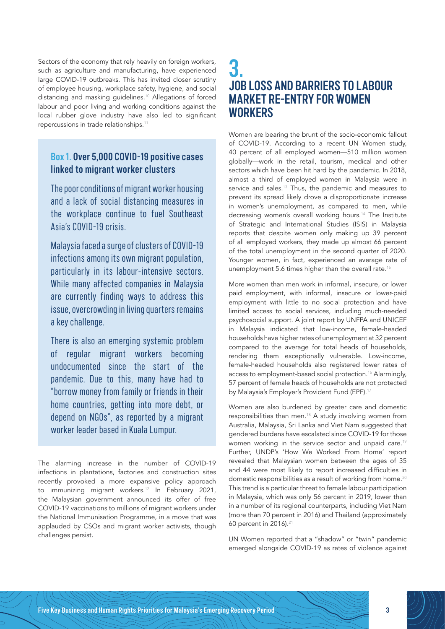Sectors of the economy that rely heavily on foreign workers, such as agriculture and manufacturing, have experienced large COVID-19 outbreaks. This has invited closer scrutiny of employee housing, workplace safety, hygiene, and social distancing and masking guidelines.10 Allegations of forced labour and poor living and working conditions against the local rubber glove industry have also led to significant repercussions in trade relationships.[11](#page-5-12)

### **Box 1. Over 5,000 COVID-19 positive cases linked to migrant worker clusters**

The poor conditions of migrant worker housing and a lack of social distancing measures in the workplace continue to fuel Southeast Asia's COVID-19 crisis.

Malaysia faced a surge of clusters of COVID-19 infections among its own migrant population, particularly in its labour-intensive sectors. While many affected companies in Malaysia are currently finding ways to address this issue, overcrowding in living quarters remains a key challenge.

There is also an emerging systemic problem of regular migrant workers becoming undocumented since the start of the pandemic. Due to this, many have had to "borrow money from family or friends in their home countries, getting into more debt, or depend on NGOs", as reported by a migrant worker leader based in Kuala Lumpur.

The alarming increase in the number of COVID-19 infections in plantations, factories and construction sites recently provoked a more expansive policy approach to immunizing migrant workers.[12](#page-5-11) In February 2021, the Malaysian government announced its offer of free COVID-19 vaccinations to millions of migrant workers under the National Immunisation Programme, in a move that was applauded by CSOs and migrant worker activists, though challenges persist.

## **3. JOB LOSS AND BARRIERS TO LABOUR MARKET RE-ENTRY FOR WOMEN WORKERS**

Women are bearing the brunt of the socio-economic fallout of COVID-19. According to a recent UN Women study, 40 percent of all employed women—510 million women globally—work in the retail, tourism, medical and other sectors which have been hit hard by the pandemic. In 2018, almost a third of employed women in Malaysia were in service and sales.<sup>[13](#page-5-4)</sup> Thus, the pandemic and measures to prevent its spread likely drove a disproportionate increase in women's unemployment, as compared to men, while decreasing women's overall working hours.<sup>14</sup> The Institute of Strategic and International Studies (ISIS) in Malaysia reports that despite women only making up 39 percent of all employed workers, they made up almost 66 percent of the total unemployment in the second quarter of 2020. Younger women, in fact, experienced an average rate of unemployment 5.6 times higher than the overall rate[.1](#page-5-6)5

More women than men work in informal, insecure, or lower paid employment, with informal, insecure or lower-paid employment with little to no social protection and have limited access to social services, including much-needed psychosocial support. A joint report by UNFPA and UNICEF in Malaysia indicated that low-income, female-headed households have higher rates of unemployment at 32 percent compared to the average for total heads of households, rendering them exceptionally vulnerable. Low-income, female-headed households also registered lower rates of access to employment-based social protection.<sup>16</sup> Alarmingly, 57 percent of female heads of households are not protected by Malaysia's Employer's Provident Fund (EPF).<sup>[1](#page-5-8)7</sup>

Women are also burdened by greater care and domestic responsibilities than men[.18](#page-5-9) A study involving women from Australia, Malaysia, Sri Lanka and Viet Nam suggested that gendered burdens have escalated since COVID-19 for those women working in the service sector and unpaid care.<sup>19</sup> Further, UNDP's 'How We Worked From Home' report revealed that Malaysian women between the ages of 35 and 44 were most likely to report increased difficulties in domestic responsibilities as a result of working from home.<sup>20</sup> This trend is a particular threat to female labour participation in Malaysia, which was only 56 percent in 2019, lower than in a number of its regional counterparts, including Viet Nam (more than 70 percent in 2016) and Thailand (approximately 60 percent in 2016).<sup>21</sup>

UN Women reported that a "shadow" or "twin" pandemic emerged alongside COVID-19 as rates of violence against

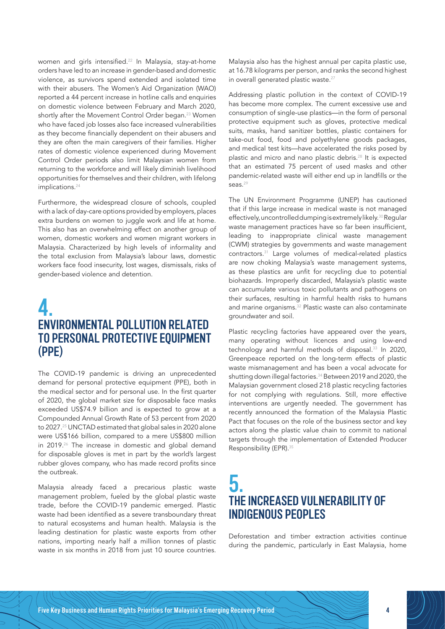women and girls intensified.<sup>22</sup> In Malaysia, stay-at-home orders have led to an increase in gender-based and domestic violence, as survivors spend extended and isolated time with their abusers. The Women's Aid Organization (WAO) reported a 44 percent increase in hotline calls and enquiries on domestic violence between February and March 2020, shortly after the Movement Control Order began.<sup>23</sup> Women who have faced job losses also face increased vulnerabilities as they become financially dependent on their abusers and they are often the main caregivers of their families. Higher rates of domestic violence experienced during Movement Control Order periods also limit Malaysian women from returning to the workforce and will likely diminish livelihood opportunities for themselves and their children, with lifelong implications.<sup>[2](#page-5-14)4</sup>

Furthermore, the widespread closure of schools, coupled with a lack of day-care options provided by employers, places extra burdens on women to juggle work and life at home. This also has an overwhelming effect on another group of women, domestic workers and women migrant workers in Malaysia. Characterized by high levels of informality and the total exclusion from Malaysia's labour laws, domestic workers face food insecurity, lost wages, dismissals, risks of gender-based violence and detention.

## **4. ENVIRONMENTAL POLLUTION RELATED TO PERSONAL PROTECTIVE EQUIPMENT (PPE)**

The COVID-19 pandemic is driving an unprecedented demand for personal protective equipment (PPE), both in the medical sector and for personal use. In the first quarter of 2020, the global market size for disposable face masks exceeded US\$74.9 billion and is expected to grow at a Compounded Annual Growth Rate of 53 percent from 2020 to [2](#page-5-15)027.<sup>25</sup> UNCTAD estimated that global sales in 2020 alone were US\$166 billion, compared to a mere US\$800 million in 2019.<sup>26</sup> The increase in domestic and global demand for disposable gloves is met in part by the world's largest rubber gloves company, who has made record profits since the outbreak.

Malaysia already faced a precarious plastic waste management problem, fueled by the global plastic waste trade, before the COVID-19 pandemic emerged. Plastic waste had been identified as a severe transboundary threat to natural ecosystems and human health. Malaysia is the leading destination for plastic waste exports from other nations, importing nearly half a million tonnes of plastic waste in six months in 2018 from just 10 source countries.

Malaysia also has the highest annual per capita plastic use, at 16.78 kilograms per person, and ranks the second highest in overall generated plastic waste.<sup>[27](#page-5-17)</sup>

Addressing plastic pollution in the context of COVID-19 has become more complex. The current excessive use and consumption of single-use plastics—in the form of personal protective equipment such as gloves, protective medical suits, masks, hand sanitizer bottles, plastic containers for take-out food, food and polyethylene goods packages, and medical test kits—have accelerated the risks posed by plastic and micro and nano plastic debris.[28](#page-5-18) It is expected that an estimated 75 percent of used masks and other pandemic-related waste will either end up in landfills or the seas.<sup>[29](#page-5-19)</sup>

The UN Environment Programme (UNEP) has cautioned that if this large increase in medical waste is not managed effectively, uncontrolled dumping is extremely likely.<sup>30</sup> Regular waste management practices have so far been insufficient, leading to inappropriate clinical waste management (CWM) strategies by governments and waste management contractors.31 Large volumes of medical-related plastics are now choking Malaysia's waste management systems, as these plastics are unfit for recycling due to potential biohazards. Improperly discarded, Malaysia's plastic waste can accumulate various toxic pollutants and pathogens on their surfaces, resulting in harmful health risks to humans and marine organisms.<sup>32</sup> Plastic waste can also contaminate groundwater and soil.

Plastic recycling factories have appeared over the years, many operating without licences and using low-end technology and harmful methods of disposal.<sup>33</sup> In 2020, Greenpeace reported on the long-term effects of plastic waste mismanagement and has been a vocal advocate for shutting down illegal factories[.3](#page-6-1)4 Between 2019 and 2020, the Malaysian government closed 218 plastic recycling factories for not complying with regulations. Still, more effective interventions are urgently needed. The government has recently announced the formation of the Malaysia Plastic Pact that focuses on the role of the business sector and key actors along the plastic value chain to commit to national targets through the implementation of Extended Producer Responsibility (EPR).[35](#page-6-2)

# **5. THE INCREASED VULNERABILITY OF INDIGENOUS PEOPLES**

Deforestation and timber extraction activities continue during the pandemic, particularly in East Malaysia, home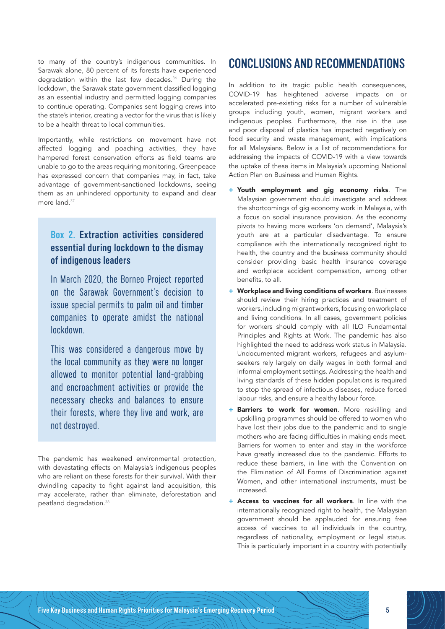to many of the country's indigenous communities. In Sarawak alone, 80 percent of its forests have experienced degradation within the last few decades[.36](#page-6-3) During the lockdown, the Sarawak state government classified logging as an essential industry and permitted logging companies to continue operating. Companies sent logging crews into the state's interior, creating a vector for the virus that is likely to be a health threat to local communities.

Importantly, while restrictions on movement have not affected logging and poaching activities, they have hampered forest conservation efforts as field teams are unable to go to the areas requiring monitoring. Greenpeace has expressed concern that companies may, in fact, take advantage of government-sanctioned lockdowns, seeing them as an unhindered opportunity to expand and clear more land<sup>37</sup>

### **Box 2. Extraction activities considered essential during lockdown to the dismay of indigenous leaders**

In March 2020, the Borneo Project reported on the Sarawak Government's decision to issue special permits to palm oil and timber companies to operate amidst the national lockdown.

This was considered a dangerous move by the local community as they were no longer allowed to monitor potential land-grabbing and encroachment activities or provide the necessary checks and balances to ensure their forests, where they live and work, are not destroyed.

The pandemic has weakened environmental protection, with devastating effects on Malaysia's indigenous peoples who are reliant on these forests for their survival. With their dwindling capacity to fight against land acquisition, this may accelerate, rather than eliminate, deforestation and peatland degradation.[38](#page-6-5)

### **CONCLUSIONS AND RECOMMENDATIONS**

In addition to its tragic public health consequences, COVID-19 has heightened adverse impacts on or accelerated pre-existing risks for a number of vulnerable groups including youth, women, migrant workers and indigenous peoples. Furthermore, the rise in the use and poor disposal of plastics has impacted negatively on food security and waste management, with implications for all Malaysians. Below is a list of recommendations for addressing the impacts of COVID-19 with a view towards the uptake of these items in Malaysia's upcoming National Action Plan on Business and Human Rights.

- + Youth employment and gig economy risks. The Malaysian government should investigate and address the shortcomings of gig economy work in Malaysia, with a focus on social insurance provision. As the economy pivots to having more workers 'on demand', Malaysia's youth are at a particular disadvantage. To ensure compliance with the internationally recognized right to health, the country and the business community should consider providing basic health insurance coverage and workplace accident compensation, among other benefits, to all.
- + Workplace and living conditions of workers. Businesses should review their hiring practices and treatment of workers, including migrant workers, focusing on workplace and living conditions. In all cases, government policies for workers should comply with all ILO Fundamental Principles and Rights at Work. The pandemic has also highlighted the need to address work status in Malaysia. Undocumented migrant workers, refugees and asylumseekers rely largely on daily wages in both formal and informal employment settings. Addressing the health and living standards of these hidden populations is required to stop the spread of infectious diseases, reduce forced labour risks, and ensure a healthy labour force.
- Barriers to work for women. More reskilling and upskilling programmes should be offered to women who have lost their jobs due to the pandemic and to single mothers who are facing difficulties in making ends meet. Barriers for women to enter and stay in the workforce have greatly increased due to the pandemic. Efforts to reduce these barriers, in line with the Convention on the Elimination of All Forms of Discrimination against Women, and other international instruments, must be increased.
- + Access to vaccines for all workers. In line with the internationally recognized right to health, the Malaysian government should be applauded for ensuring free access of vaccines to all individuals in the country, regardless of nationality, employment or legal status. This is particularly important in a country with potentially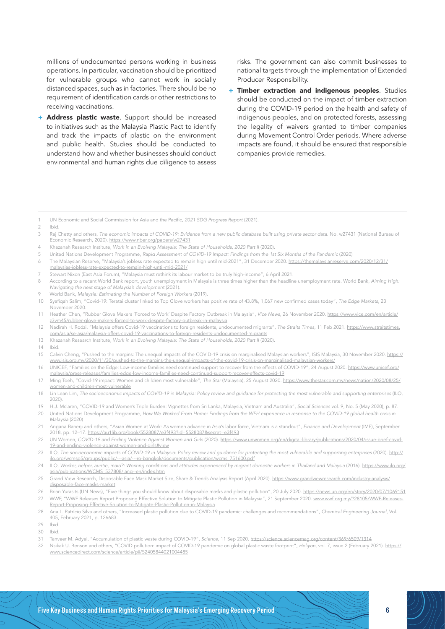millions of undocumented persons working in business operations. In particular, vaccination should be prioritized for vulnerable groups who cannot work in socially distanced spaces, such as in factories. There should be no requirement of identification cards or other restrictions to receiving vaccinations.

+ Address plastic waste. Support should be increased to initiatives such as the Malaysia Plastic Pact to identify and track the impacts of plastic on the environment and public health. Studies should be conducted to understand how and whether businesses should conduct environmental and human rights due diligence to assess

risks. The government can also commit businesses to national targets through the implementation of Extended Producer Responsibility.

+ Timber extraction and indigenous peoples. Studies should be conducted on the impact of timber extraction during the COVID-19 period on the health and safety of indigenous peoples, and on protected forests, assessing the legality of waivers granted to timber companies during Movement Control Order periods. Where adverse impacts are found, it should be ensured that responsible companies provide remedies.

<span id="page-5-0"></span>1 UN Economic and Social Commission for Asia and the Pacific, *2021 SDG Progress Report* (2021).

<span id="page-5-1"></span>2 Ibid.

- <span id="page-5-3"></span>4 Khazanah Research Institute, *Work in an Evolving Malaysia: The State of Households, 2020 Part II* (2020).
- 5 United Nations Development Programme, *Rapid Assessment of COVID-19 Impact: Findings from the 1st Six Months of the Pandemic* (2020)
- 6 The Malaysian Reserve, "Malaysia's jobless rate expected to remain high until mid-2021", 31 December 2020. [https://themalaysianreserve.com/2020/12/31/](https://themalaysianreserve.com/2020/12/31/malaysias-jobless-rate-expected-to-remain-high-until-mid-2021/) [malaysias-jobless-rate-expected-to-remain-high-until-mid-2021/](https://themalaysianreserve.com/2020/12/31/malaysias-jobless-rate-expected-to-remain-high-until-mid-2021/)
- 7 Stewart Nixon (East Asia Forum), "Malaysia must rethink its labour market to be truly high-income", 6 April 2021.
- 8 According to a recent World Bank report, youth unemployment in Malaysia is three times higher than the headline unemployment rate. World Bank, *Aiming High: Navigating the next stage of Malaysia's development* (2021).
- 9 World Bank, *Malaysia: Estimating the Number of Foreign Workers* (2019).
- 10 Syafiqah Salim, "Covid-19: Teratai cluster linked to Top Glove workers has positive rate of 43.8%, 1,067 new confirmed cases today", *The Edge Markets*, 23 November 2020.
- <span id="page-5-12"></span>11 Heather Chen, "Rubber Glove Makers 'Forced to Work' Despite Factory Outbreak in Malaysia", *Vice News*, 26 November 2020. [https://www.vice.com/en/article/](https://www.vice.com/en/article/z3vm45/rubber-glove-makers-forced-to-work-despite-factory-outbreak-in-malaysia) [z3vm45/rubber-glove-makers-forced-to-work-despite-factory-outbreak-in-malaysia](https://www.vice.com/en/article/z3vm45/rubber-glove-makers-forced-to-work-despite-factory-outbreak-in-malaysia)
- <span id="page-5-11"></span>12 Nadirah H. Rodzi, "Malaysia offers Covid-19 vaccinations to foreign residents, undocumented migrants", *The Straits Times*, 11 Feb 2021. [https://www.straitstimes.](https://www.straitstimes.com/asia/se-asia/malaysia-offers-covid-19-vaccinations-to-foreign-residents-undocumented-migrants) [com/asia/se-asia/malaysia-offers-covid-19-vaccinations-to-foreign-residents-undocumented-migrants](https://www.straitstimes.com/asia/se-asia/malaysia-offers-covid-19-vaccinations-to-foreign-residents-undocumented-migrants)
- <span id="page-5-4"></span>13 Khazanah Research Institute, *Work in an Evolving Malaysia: The State of Households, 2020 Part II* (2020).
- <span id="page-5-5"></span>14 Ibid.
- <span id="page-5-6"></span>15 Calvin Cheng, "Pushed to the margins: The unequal impacts of the COVID-19 crisis on marginalised Malaysian workers", ISIS Malaysia, 30 November 2020. [https://](https://www.isis.org.my/2020/11/30/pushed-to-the-margins-the-unequal-impacts-of-the-covid-19-crisis-on-marginalised-malaysian-workers/) [www.isis.org.my/2020/11/30/pushed-to-the-margins-the-unequal-impacts-of-the-covid-19-crisis-on-marginalised-malaysian-workers/](https://www.isis.org.my/2020/11/30/pushed-to-the-margins-the-unequal-impacts-of-the-covid-19-crisis-on-marginalised-malaysian-workers/)
- <span id="page-5-7"></span>16 UNICEF, "Families on the Edge: Low-income families need continued support to recover from the effects of COVID-19", 24 August 2020. [https://www.unicef.org/](https://www.unicef.org/malaysia/press-releases/families-edge-low-income-families-need-continued-support-recover-effects-covid-19) [malaysia/press-releases/families-edge-low-income-families-need-continued-support-recover-effects-covid-19](https://www.unicef.org/malaysia/press-releases/families-edge-low-income-families-need-continued-support-recover-effects-covid-19)
- <span id="page-5-8"></span>17 Ming Toeh, "Covid-19 impact: Women and children most vulnerable", *The Star* (Malaysia), 25 August 2020. [https://www.thestar.com.my/news/nation/2020/08/25/](https://www.thestar.com.my/news/nation/2020/08/25/women-and-children-most-vulnerable) [women-and-children-most-vulnerable](https://www.thestar.com.my/news/nation/2020/08/25/women-and-children-most-vulnerable)
- <span id="page-5-9"></span>18 Lin Lean Lim, *The socioeconomic impacts of COVID-19 in Malaysia: Policy review and guidance for protecting the most vulnerable and supporting enterprises* (ILO, 2020).
- <span id="page-5-10"></span>19 H.J. Mclaren, "COVID-19 and Women's Triple Burden: Vignettes from Sri Lanka, Malaysia, Vietnam and Australia", *Social Sciences* vol. 9, No. 5 (May 2020), p. 87.
- 20 United Nations Development Programme, *How We Worked From Home: Findings from the WFH experience in response to the COVID-19 global health crisis in Malaysia* (2020)
- 21 Angana Banerji and others, "Asian Women at Work: As women advance in Asia's labor force, Vietnam is a standout", *Finance and Development* (IMF), September 2018, pp. 12–17. <https://au1lib.org/book/5528087/e3f493?id=5528087&secret=e3f493>
- 22 UN Women, COVID-19 and Ending Violence Against Women and Girls (2020). [https://www.unwomen.org/en/digital-library/publications/2020/04/issue-brief-covid-](https://www.unwomen.org/en/digital-library/publications/2020/04/issue-brief-covid-19-and-ending-violence-against-women-and-girls#view)[19-and-ending-violence-against-women-and-girls#view](https://www.unwomen.org/en/digital-library/publications/2020/04/issue-brief-covid-19-and-ending-violence-against-women-and-girls#view)
- <span id="page-5-13"></span>23 ILO, *The socioeconomic impacts of COVID-19 in Malaysia: Policy review and guidance for protecting the most vulnerable and supporting enterprises* (2020). [http://](http://ilo.org/wcmsp5/groups/public/---asia/---ro-bangkok/documents/publication/wcms_751600.pdf) [ilo.org/wcmsp5/groups/public/---asia/---ro-bangkok/documents/publication/wcms\\_751600.pdf](http://ilo.org/wcmsp5/groups/public/---asia/---ro-bangkok/documents/publication/wcms_751600.pdf)
- <span id="page-5-14"></span>24 ILO, *Worker, helper, auntie, maid?: Working conditions and attitudes experienced by migrant domestic workers in Thailand and Malaysia* (2016). [https://www.ilo.org/](https://www.ilo.org/asia/publications/WCMS_537808/lang--en/index.htm) [asia/publications/WCMS\\_537808/lang--en/index.htm](https://www.ilo.org/asia/publications/WCMS_537808/lang--en/index.htm)
- <span id="page-5-15"></span>25 Grand View Research, Disposable Face Mask Market Size, Share & Trends Analysis Report (April 2020). [https://www.grandviewresearch.com/industry-analysis/](https://www.grandviewresearch.com/industry-analysis/disposable-face-masks-market) [disposable-face-masks-market](https://www.grandviewresearch.com/industry-analysis/disposable-face-masks-market)
- <span id="page-5-17"></span><span id="page-5-16"></span>26 Brian Yurasits (UN News), "Five things you should know about disposable masks and plastic pollution", 20 July 2020. <https://news.un.org/en/story/2020/07/1069151> 27 WWF, "WWF Releases Report Proposing Effective Solution to Mitigate Plastic Pollution in Malaysia", 21 September 2020. [www.wwf.org.my/?28105/WWF-Releases-](http://www.wwf.org.my/?28105/WWF-Releases-Report-Proposing-Effective-Solution-to-Mitigate-Plastic-Pollution-in-Malaysia)[Report-Proposing-Effective-Solution-to-Mitigate-Plastic-Pollution-in-Malaysia](http://www.wwf.org.my/?28105/WWF-Releases-Report-Proposing-Effective-Solution-to-Mitigate-Plastic-Pollution-in-Malaysia)
- <span id="page-5-18"></span>28 Ana L. Patrício Silva and others, "Increased plastic pollution due to COVID-19 pandemic: challenges and recommendations", *Chemical Engineering Journal*, Vol. 405, February 2021, p. 126683.
- <span id="page-5-19"></span>29 Ibid.
- 30 Ibid.
- 31 Tanveer M. Adyel, "Accumulation of plastic waste during COVID-19", *Science*, 11 Sep 2020.<https://science.sciencemag.org/content/369/6509/1314>
- <span id="page-5-20"></span>32 Nsikak U. Benson and others, "COVID pollution: impact of COVID-19 pandemic on global plastic waste footprint", *Heliyon*, vol. 7, issue 2 (February 2021). [https://](https://www.sciencedirect.com/science/article/pii/S2405844021004485) [www.sciencedirect.com/science/article/pii/S2405844021004485](https://www.sciencedirect.com/science/article/pii/S2405844021004485)



<span id="page-5-2"></span><sup>3</sup> Raj Chetty and others, *The economic impacts of COVID-19: Evidence from a new public database built using private sector data*. No. w27431 (National Bureau of Economic Research, 2020). <https://www.nber.org/papers/w27431>